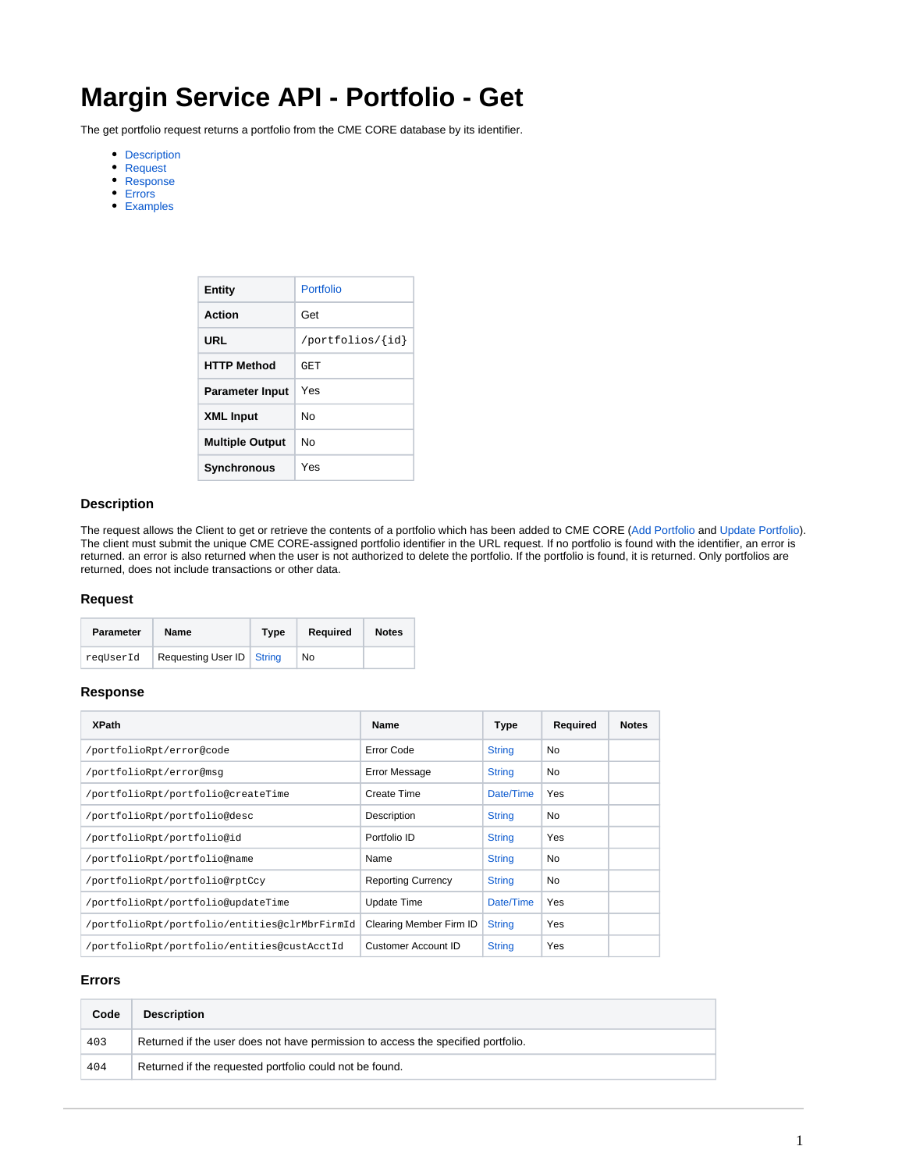# **Margin Service API - Portfolio - Get**

The get portfolio request returns a portfolio from the CME CORE database by its identifier.

- [Description](#page-0-0)
- [Request](#page-0-1)
- [Response](#page-0-2)
- [Errors](#page-0-3)
- [Examples](#page-1-0)

| <b>Entity</b>          | Portfolio        |
|------------------------|------------------|
| Action                 | Get              |
| URL                    | /portfolios/{id} |
| <b>HTTP Method</b>     | GET              |
| <b>Parameter Input</b> | Yes              |
| <b>XML Input</b>       | N٥               |
| <b>Multiple Output</b> | N٥               |
| <b>Synchronous</b>     | Yes              |

#### <span id="page-0-0"></span>**Description**

The request allows the Client to get or retrieve the contents of a portfolio which has been added to CME CORE ([Add Portfolio](https://www.cmegroup.com/confluence/display/EPICSANDBOX/Margin+Service+API+-+Portfolio+-+Add) and [Update Portfolio](https://www.cmegroup.com/confluence/display/EPICSANDBOX/Margin+Service+API+-+Portfolio+-+Update)). The client must submit the unique CME CORE-assigned portfolio identifier in the URL request. If no portfolio is found with the identifier, an error is returned. an error is also returned when the user is not authorized to delete the portfolio. If the portfolio is found, it is returned. Only portfolios are returned, does not include transactions or other data.

### <span id="page-0-1"></span>**Request**

| <b>Parameter</b> | Name                        | Type | Required | <b>Notes</b> |
|------------------|-----------------------------|------|----------|--------------|
| reqUserId        | Requesting User ID   String |      | No       |              |

### <span id="page-0-2"></span>**Response**

| <b>XPath</b>                                  | Name                      | Type          | Required | <b>Notes</b> |
|-----------------------------------------------|---------------------------|---------------|----------|--------------|
| /portfolioRpt/error@code                      | Error Code                | <b>String</b> | No       |              |
| /portfolioRpt/error@msq                       | <b>Error Message</b>      | <b>String</b> | No       |              |
| /portfolioRpt/portfolio@createTime            | Create Time               | Date/Time     | Yes      |              |
| /portfolioRpt/portfolio@desc                  | Description               | <b>String</b> | No       |              |
| /portfolioRpt/portfolio@id                    | Portfolio ID              | <b>String</b> | Yes      |              |
| /portfolioRpt/portfolio@name                  | Name                      | <b>String</b> | No       |              |
| /portfolioRpt/portfolio@rptCcy                | <b>Reporting Currency</b> | <b>String</b> | No       |              |
| /portfolioRpt/portfolio@updateTime            | Update Time               | Date/Time     | Yes      |              |
| /portfolioRpt/portfolio/entities@clrMbrFirmId | Clearing Member Firm ID   | <b>String</b> | Yes      |              |
| /portfolioRpt/portfolio/entities@custAcctId   | Customer Account ID       | <b>String</b> | Yes      |              |

# <span id="page-0-3"></span>**Errors**

| Code | <b>Description</b>                                                               |  |
|------|----------------------------------------------------------------------------------|--|
| 403  | Returned if the user does not have permission to access the specified portfolio. |  |
| 404  | Returned if the requested portfolio could not be found.                          |  |